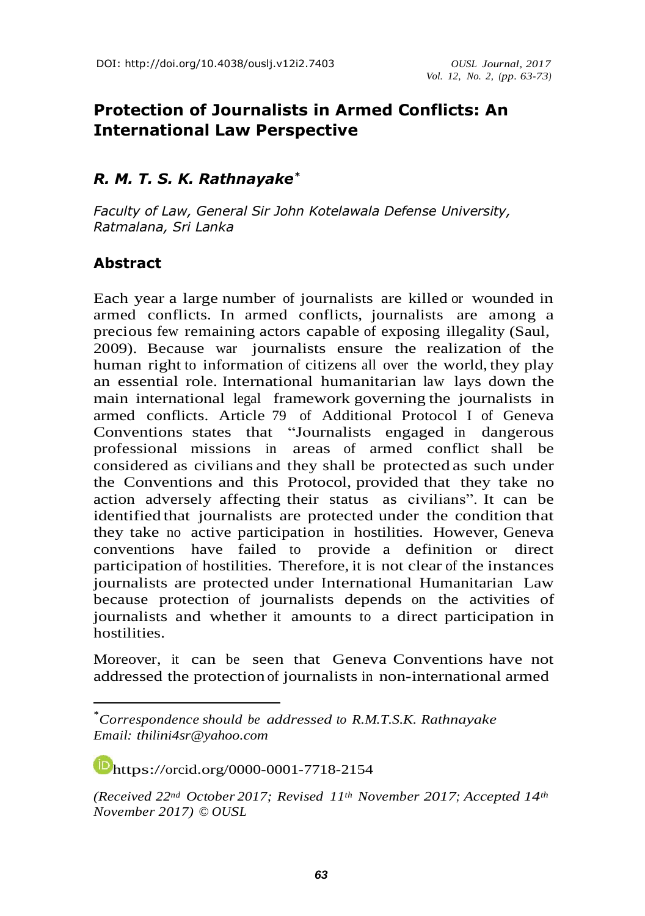# **Protection of Journalists in Armed Conflicts: An International Law Perspective**

### *R. M. T. S. K. Rathnayake \**

*Faculty of Law, General Sir John Kotelawala Defense University, Ratmalana, Sri Lanka*

# **Abstract**

Each year a large number of journalists are killed or wounded in armed conflicts. In armed conflicts, journalists are among a precious few remaining actors capable of exposing illegality (Saul, 2009). Because war journalists ensure the realization of the human right to information of citizens all over the world, they play an essential role. International humanitarian law lays down the main international legal framework governing the journalists in armed conflicts. Article 79 of Additional Protocol I of Geneva Conventions states that "Journalists engaged in dangerous professional missions in areas of armed conflict shall be considered as civilians and they shall be protected as such under the Conventions and this Protocol, provided that they take no action adversely affecting their status as civilians". It can be identified that journalists are protected under the condition that they take no active participation in hostilities. However, Geneva conventions have failed to provide a definition or direct participation of hostilities. Therefore, it is not clear of the instances journalists are protected under International Humanitarian Law because protection of journalists depends on the activities of journalists and whether it amounts to a direct participation in hostilities.

Moreover, it can be seen that Geneva Conventions have not addressed the protection of journalists in non-international armed

[https://orcid.org/00](https://orcid.org/)00-0001-7718-2154

*(Received 22nd October 2017; Revised 11th November 2017; Accepted 14th November 2017) © OUSL*

<sup>\*</sup>*Correspondence should be addressed to R.M.T.S.K. Rathnayake Email: [thilini4sr@yahoo.com](mailto:thilini4sr@yahoo.com)*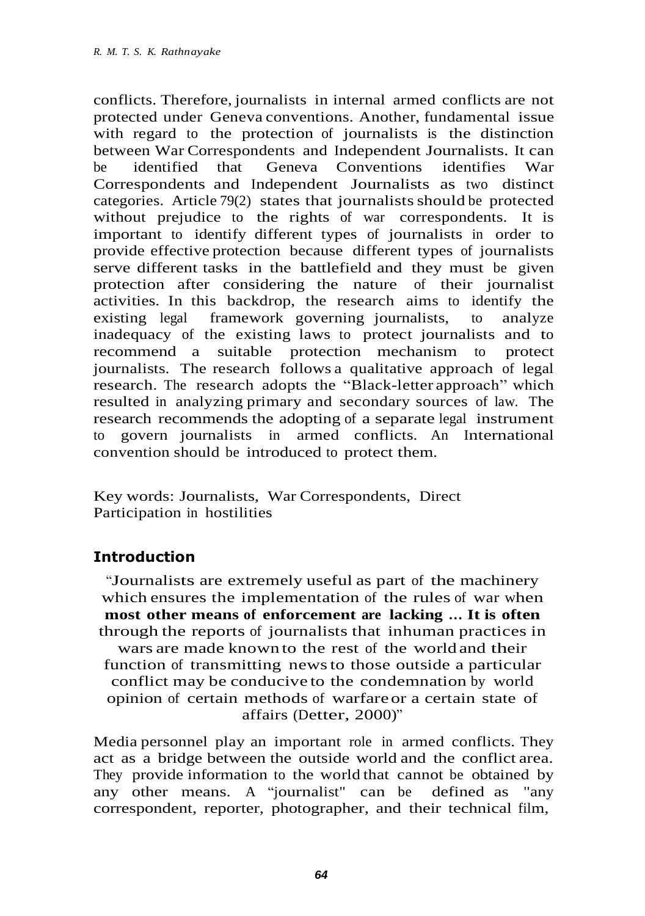conflicts. Therefore, journalists in internal armed conflicts are not protected under Geneva conventions. Another, fundamental issue with regard to the protection of journalists is the distinction between War Correspondents and Independent Journalists. It can be identified that Geneva Conventions identifies War Correspondents and Independent Journalists as two distinct categories. Article  $79(2)$  states that journalists should be protected without prejudice to the rights of war correspondents. It is important to identify different types of journalists in order to provide effective protection because different types of journalists serve different tasks in the battlefield and they must be given protection after considering the nature of their journalist activities. In this backdrop, the research aims to identify the existing legal framework governing journalists, to analyze inadequacy of the existing laws to protect journalists and to recommend a suitable protection mechanism to protect journalists. The research follows a qualitative approach of legal research. The research adopts the "Black-letter approach" which resulted in analyzing primary and secondary sources of law. The research recommends the adopting of a separate legal instrument to govern journalists in armed conflicts. An International convention should be introduced to protect them.

Key words: Journalists, War Correspondents, Direct Participation in hostilities

# **Introduction**

"Journalists are extremely useful as part of the machinery which ensures the implementation of the rules of war when **most other means of enforcement are lacking … It is often**  through the reports of journalists that inhuman practices in wars are made known to the rest of the world and their function of transmitting newsto those outside a particular conflict may be conducive to the condemnation by world opinion of certain methods of warfareor a certain state of affairs (Detter, 2000)"

Media personnel play an important role in armed conflicts. They act as a bridge between the outside world and the conflict area. They provide information to the world that cannot be obtained by any other means. A "journalist" can be defined as "any correspondent, reporter, photographer, and their technical film,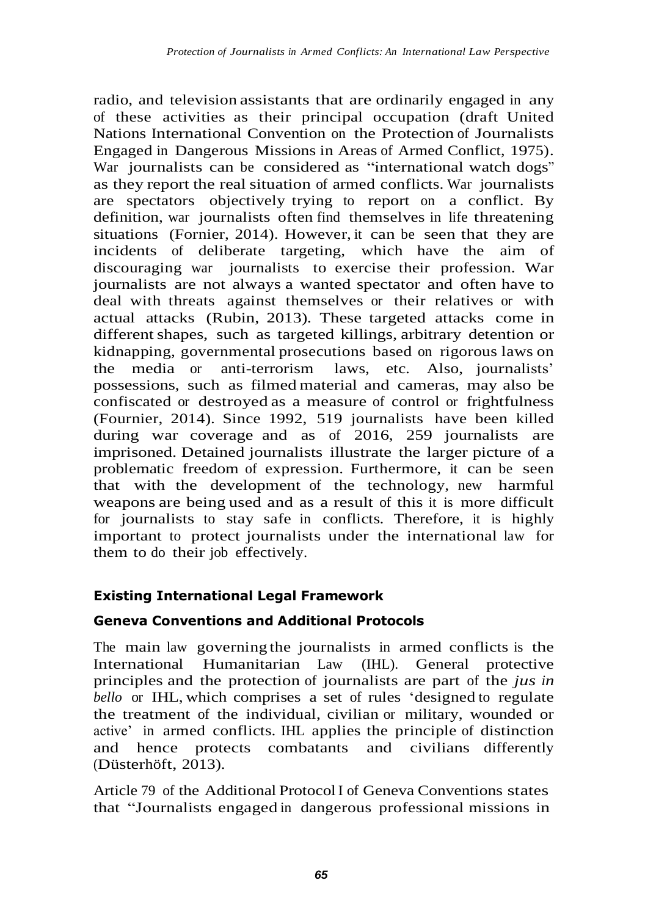radio, and television assistants that are ordinarily engaged in any of these activities as their principal occupation (draft United Nations International Convention on the Protection of Journalists Engaged in Dangerous Missions in Areas of Armed Conflict, 1975). War journalists can be considered as "international watch dogs" as they report the real situation of armed conflicts. War journalists are spectators objectively trying to report on a conflict. By definition, war journalists often find themselves in life threatening situations (Fornier, 2014). However, it can be seen that they are incidents of deliberate targeting, which have the aim of discouraging war journalists to exercise their profession. War journalists are not always a wanted spectator and often have to deal with threats against themselves or their relatives or with actual attacks (Rubin, 2013). These targeted attacks come in different shapes, such as targeted killings, arbitrary detention or kidnapping, governmental prosecutions based on rigorous laws on the media or anti-terrorism laws, etc. Also, journalists' possessions, such as filmed material and cameras, may also be confiscated or destroyed as a measure of control or frightfulness (Fournier, 2014). Since 1992, 519 journalists have been killed during war coverage and as of 2016, 259 journalists are imprisoned. Detained journalists illustrate the larger picture of a problematic freedom of expression. Furthermore, it can be seen that with the development of the technology, new harmful weapons are being used and as a result of this it is more difficult for journalists to stay safe in conflicts. Therefore, it is highly important to protect journalists under the international law for them to do their job effectively.

# **Existing International Legal Framework**

#### **Geneva Conventions and Additional Protocols**

The main law governing the journalists in armed conflicts is the International Humanitarian Law (IHL). General protective principles and the protection of journalists are part of the *jus in bello* or IHL, which comprises a set of rules 'designed to regulate the treatment of the individual, civilian or military, wounded or active' in armed conflicts. IHL applies the principle of distinction and hence protects combatants and civilians differently (Düsterhöft, 2013).

Article 79 of the Additional ProtocolI of Geneva Conventions states that "Journalists engaged in dangerous professional missions in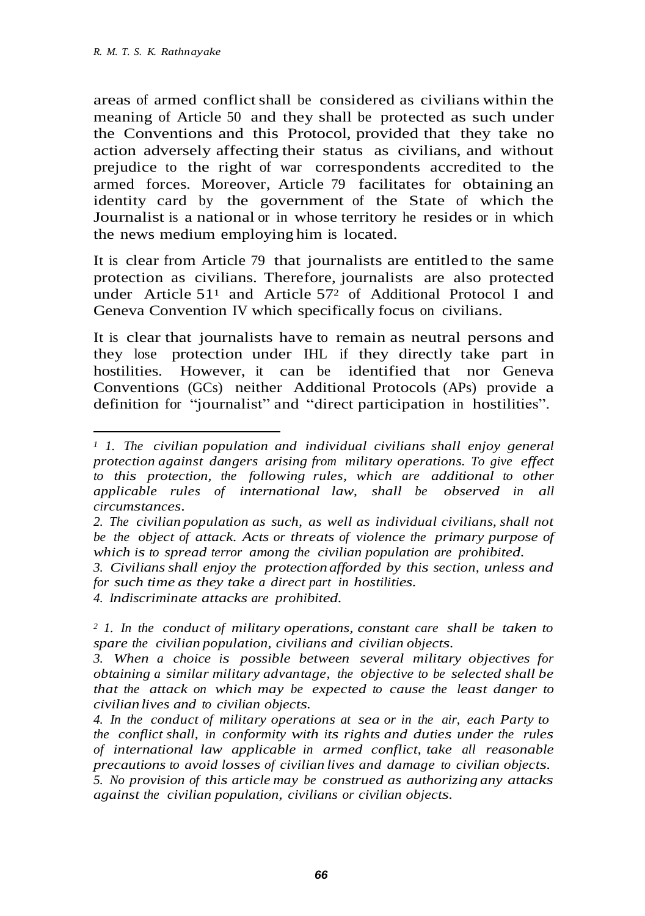areas of armed conflictshall be considered as civilians within the meaning of Article 50 and they shall be protected as such under the Conventions and this Protocol, provided that they take no action adversely affecting their status as civilians, and without prejudice to the right of war correspondents accredited to the armed forces. Moreover, Article 79 facilitates for obtaining an identity card by the government of the State of which the Journalist is a national or in whose territory he resides or in which the news medium employing him is located.

It is clear from Article 79 that journalists are entitled to the same protection as civilians. Therefore, journalists are also protected under Article  $51<sup>1</sup>$  and Article  $57<sup>2</sup>$  of Additional Protocol I and Geneva Convention IV which specifically focus on civilians.

It is clear that journalists have to remain as neutral persons and they lose protection under IHL if they directly take part in hostilities. However, it can be identified that nor Geneva Conventions (GCs) neither Additional Protocols (APs) provide a definition for "journalist" and "direct participation in hostilities".

*4. Indiscriminate attacks are prohibited.*

*<sup>1</sup>1. The civilian population and individual civilians shall enjoy general protection against dangers arising from military operations. To give effect to this protection, the following rules, which are additional to other applicable rules of international law, shall be observed in all circumstances.*

*<sup>2.</sup> The civilian population as such, as well as individual civilians, shall not be the object of attack. Acts or threats of violence the primary purpose of which is to spread terror among the civilian population are prohibited.*

*<sup>3.</sup> Civilians shall enjoy the protection afforded by this section, unless and for such time as they take a direct part in hostilities.*

*<sup>2</sup>1. In the conduct of military operations, constant care shall be taken to spare the civilian population, civilians and civilian objects.*

*<sup>3.</sup> When a choice is possible between several military objectives for obtaining a similar military advantage, the objective to be selected shall be that the attack on which may be expected to cause the least danger to civilian lives and to civilian objects.*

*<sup>4.</sup> In the conduct of military operations at sea or in the air, each Party to the conflict shall, in conformity with its rights and duties under the rules of international law applicable in armed conflict, take all reasonable precautions to avoid losses of civilian lives and damage to civilian objects.*

*<sup>5.</sup> No provision of this article may be construed as authorizing any attacks against the civilian population, civilians or civilian objects.*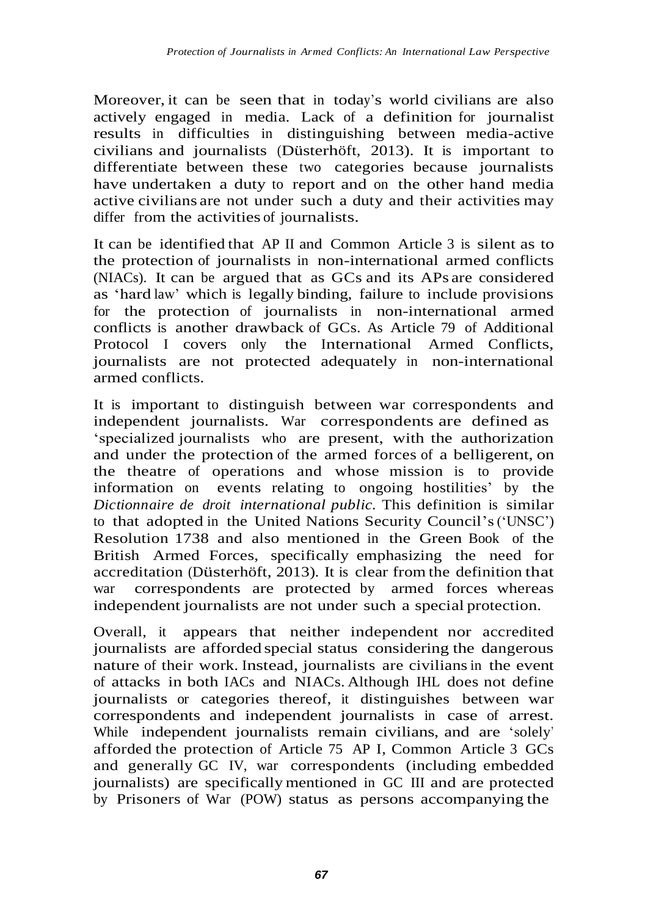Moreover, it can be seen that in today's world civilians are also actively engaged in media. Lack of a definition for journalist results in difficulties in distinguishing between media-active civilians and journalists (Düsterhöft, 2013). It is important to differentiate between these two categories because journalists have undertaken a duty to report and on the other hand media active civilians are not under such a duty and their activities may differ from the activities of journalists.

It can be identified that AP II and Common Article 3 is silent as to the protection of journalists in non-international armed conflicts (NIACs). It can be argued that as GCs and its APs are considered as 'hard law' which is legally binding, failure to include provisions for the protection of journalists in non-international armed conflicts is another drawback of GCs. As Article 79 of Additional Protocol I covers only the International Armed Conflicts, journalists are not protected adequately in non-international armed conflicts.

It is important to distinguish between war correspondents and independent journalists. War correspondents are defined as 'specialized journalists who are present, with the authorization and under the protection of the armed forces of a belligerent, on the theatre of operations and whose mission is to provide information on events relating to ongoing hostilities' by the *Dictionnaire de droit international public.* This definition is similar to that adopted in the United Nations Security Council's('UNSC') Resolution 1738 and also mentioned in the Green Book of the British Armed Forces, specifically emphasizing the need for accreditation (Düsterhöft, 2013). It is clear from the definition that war correspondents are protected by armed forces whereas independent journalists are not under such a special protection.

Overall, it appears that neither independent nor accredited journalists are afforded special status considering the dangerous nature of their work. Instead, journalists are civiliansin the event of attacks in both IACs and NIACs. Although IHL does not define journalists or categories thereof, it distinguishes between war correspondents and independent journalists in case of arrest. While independent journalists remain civilians, and are 'solely' afforded the protection of Article 75 AP I, Common Article 3 GCs and generally GC IV, war correspondents (including embedded journalists) are specifically mentioned in GC III and are protected by Prisoners of War (POW) status as persons accompanying the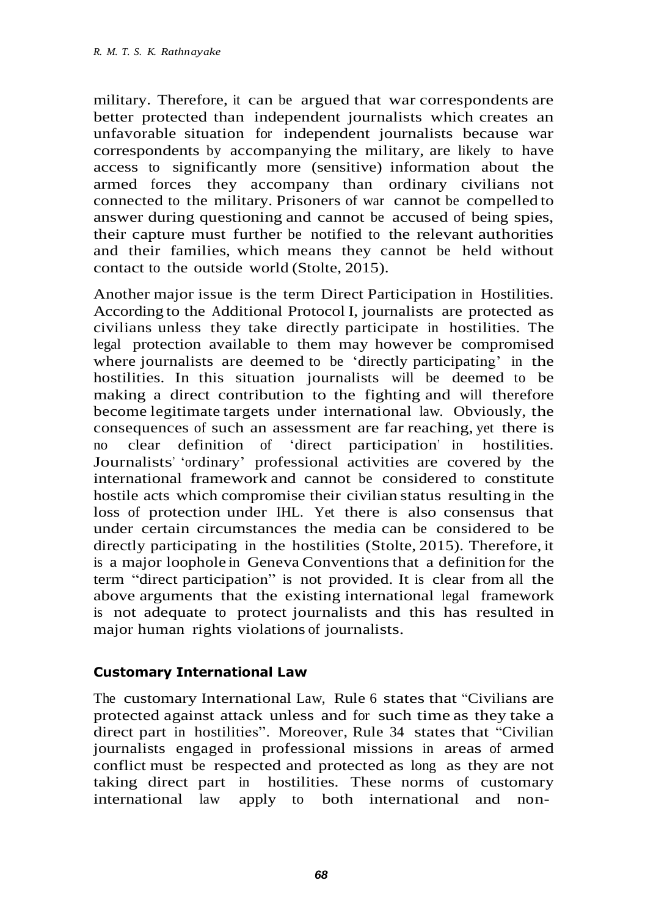military. Therefore, it can be argued that war correspondents are better protected than independent journalists which creates an unfavorable situation for independent journalists because war correspondents by accompanying the military, are likely to have access to significantly more (sensitive) information about the armed forces they accompany than ordinary civilians not connected to the military. Prisoners of war cannot be compelled to answer during questioning and cannot be accused of being spies, their capture must further be notified to the relevant authorities and their families, which means they cannot be held without contact to the outside world (Stolte, 2015).

Another major issue is the term Direct Participation in Hostilities. According to the Additional Protocol I, journalists are protected as civilians unless they take directly participate in hostilities. The legal protection available to them may however be compromised where journalists are deemed to be 'directly participating' in the hostilities. In this situation journalists will be deemed to be making a direct contribution to the fighting and will therefore become legitimate targets under international law. Obviously, the consequences of such an assessment are far reaching, yet there is no clear definition of 'direct participation' in hostilities. Journalists' 'ordinary' professional activities are covered by the international framework and cannot be considered to constitute hostile acts which compromise their civilian status resulting in the loss of protection under IHL. Yet there is also consensus that under certain circumstances the media can be considered to be directly participating in the hostilities (Stolte, 2015). Therefore, it is a major loophole in Geneva Conventions that a definition for the term "direct participation" is not provided. It is clear from all the above arguments that the existing international legal framework is not adequate to protect journalists and this has resulted in major human rights violations of journalists.

#### **Customary International Law**

The customary International Law, Rule 6 states that "Civilians are protected against attack unless and for such time as they take a direct part in hostilities". Moreover, Rule 34 states that "Civilian journalists engaged in professional missions in areas of armed conflict must be respected and protected as long as they are not taking direct part in hostilities. These norms of customary international law apply to both international and non-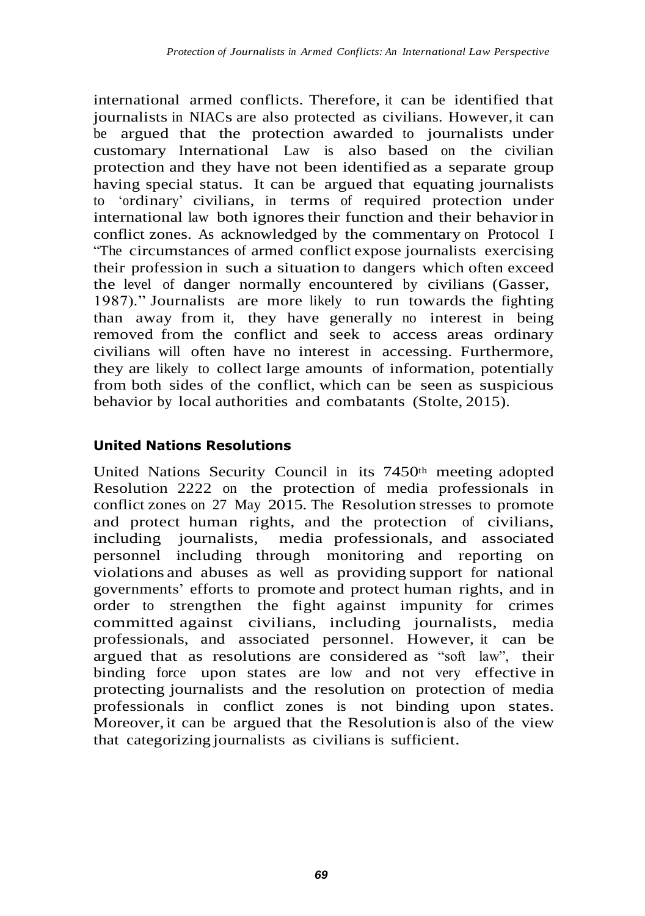international armed conflicts. Therefore, it can be identified that journalists in NIACs are also protected as civilians. However, it can be argued that the protection awarded to journalists under customary International Law is also based on the civilian protection and they have not been identified as a separate group having special status. It can be argued that equating journalists to 'ordinary' civilians, in terms of required protection under international law both ignores their function and their behaviorin conflict zones. As acknowledged by the commentary on Protocol I "The circumstances of armed conflict expose journalists exercising their profession in such a situation to dangers which often exceed the level of danger normally encountered by civilians (Gasser, 1987)." Journalists are more likely to run towards the fighting than away from it, they have generally no interest in being removed from the conflict and seek to access areas ordinary civilians will often have no interest in accessing. Furthermore, they are likely to collect large amounts of information, potentially from both sides of the conflict, which can be seen as suspicious behavior by local authorities and combatants (Stolte, 2015).

#### **United Nations Resolutions**

United Nations Security Council in its 7450th meeting adopted Resolution 2222 on the protection of media professionals in conflict zones on 27 May 2015. The Resolution stresses to promote and protect human rights, and the protection of civilians, including journalists, media professionals, and associated personnel including through monitoring and reporting on violations and abuses as well as providing support for national governments' efforts to promote and protect human rights, and in order to strengthen the fight against impunity for crimes committed against civilians, including journalists, media professionals, and associated personnel. However, it can be argued that as resolutions are considered as "soft law", their binding force upon states are low and not very effective in protecting journalists and the resolution on protection of media professionals in conflict zones is not binding upon states. Moreover, it can be argued that the Resolution is also of the view that categorizing journalists as civilians is sufficient.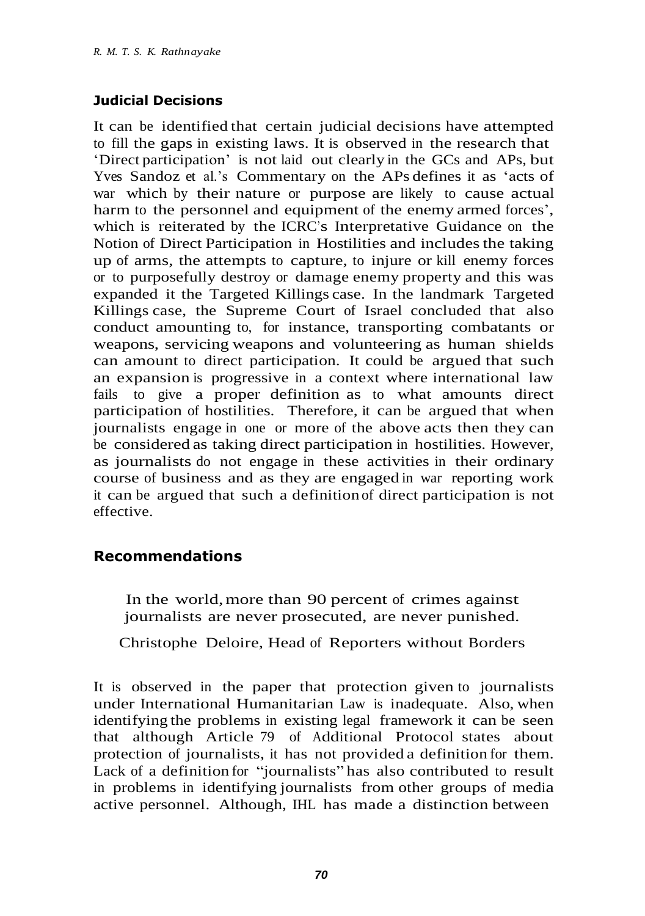### **Judicial Decisions**

It can be identified that certain judicial decisions have attempted to fill the gaps in existing laws. It is observed in the research that 'Direct participation' is not laid out clearly in the GCs and APs, but Yves Sandoz et al.'s Commentary on the APs defines it as 'acts of war which by their nature or purpose are likely to cause actual harm to the personnel and equipment of the enemy armed forces', which is reiterated by the ICRC's Interpretative Guidance on the Notion of Direct Participation in Hostilities and includes the taking up of arms, the attempts to capture, to injure or kill enemy forces or to purposefully destroy or damage enemy property and this was expanded it the Targeted Killings case. In the landmark Targeted Killings case, the Supreme Court of Israel concluded that also conduct amounting to, for instance, transporting combatants or weapons, servicing weapons and volunteering as human shields can amount to direct participation. It could be argued that such an expansion is progressive in a context where international law fails to give a proper definition as to what amounts direct participation of hostilities. Therefore, it can be argued that when journalists engage in one or more of the above acts then they can be considered as taking direct participation in hostilities. However, as journalists do not engage in these activities in their ordinary course of business and as they are engaged in war reporting work it can be argued that such a definition of direct participation is not effective.

# **Recommendations**

In the world,more than 90 percent of crimes against journalists are never prosecuted, are never punished.

Christophe Deloire, Head of Reporters without Borders

It is observed in the paper that protection given to journalists under International Humanitarian Law is inadequate. Also, when identifying the problems in existing legal framework it can be seen that although Article 79 of Additional Protocol states about protection of journalists, it has not provided a definition for them. Lack of a definition for "journalists" has also contributed to result in problems in identifying journalists from other groups of media active personnel. Although, IHL has made a distinction between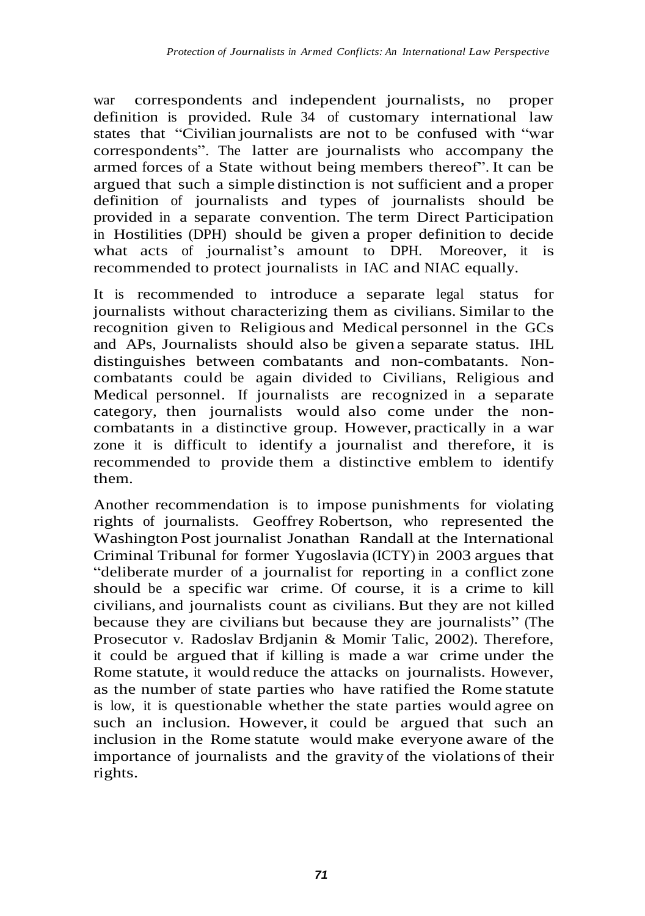war correspondents and independent journalists, no proper definition is provided. Rule 34 of customary international law states that "Civilian journalists are not to be confused with "war correspondents". The latter are journalists who accompany the armed forces of a State without being members thereof". It can be argued that such a simple distinction is not sufficient and a proper definition of journalists and types of journalists should be provided in a separate convention. The term Direct Participation in Hostilities (DPH) should be given a proper definition to decide what acts of journalist's amount to DPH. Moreover, it is recommended to protect journalists in IAC and NIAC equally.

It is recommended to introduce a separate legal status for journalists without characterizing them as civilians. Similar to the recognition given to Religious and Medical personnel in the GCs and APs, Journalists should also be given a separate status. IHL distinguishes between combatants and non-combatants. Noncombatants could be again divided to Civilians, Religious and Medical personnel. If journalists are recognized in a separate category, then journalists would also come under the noncombatants in a distinctive group. However, practically in a war zone it is difficult to identify a journalist and therefore, it is recommended to provide them a distinctive emblem to identify them.

Another recommendation is to impose punishments for violating rights of journalists. Geoffrey Robertson, who represented the Washington Post journalist Jonathan Randall at the International Criminal Tribunal for former Yugoslavia (ICTY) in 2003 argues that "deliberate murder of a journalist for reporting in a conflict zone should be a specific war crime. Of course, it is a crime to kill civilians, and journalists count as civilians. But they are not killed because they are civilians but because they are journalists" (The Prosecutor v. Radoslav Brdjanin & Momir Talic, 2002). Therefore, it could be argued that if killing is made a war crime under the Rome statute, it would reduce the attacks on journalists. However, as the number of state parties who have ratified the Rome statute is low, it is questionable whether the state parties would agree on such an inclusion. However, it could be argued that such an inclusion in the Rome statute would make everyone aware of the importance of journalists and the gravity of the violations of their rights.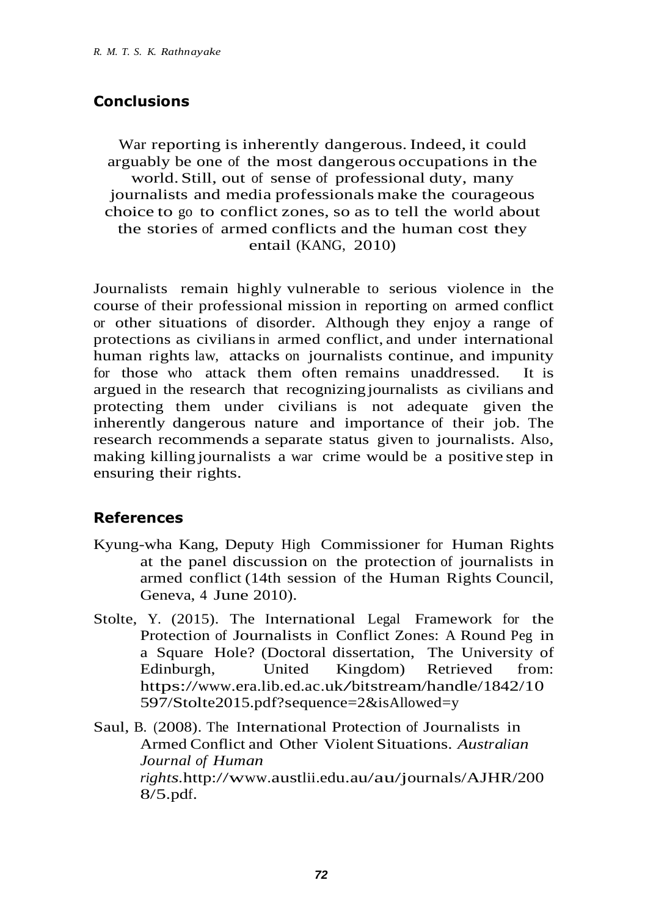# **Conclusions**

War reporting is inherently dangerous.Indeed, it could arguably be one of the most dangerous occupations in the world. Still, out of sense of professional duty, many journalists and media professionals make the courageous choice to go to conflict zones, so as to tell the world about the stories of armed conflicts and the human cost they entail (KANG, 2010)

Journalists remain highly vulnerable to serious violence in the course of their professional mission in reporting on armed conflict or other situations of disorder. Although they enjoy a range of protections as civiliansin armed conflict, and under international human rights law, attacks on journalists continue, and impunity for those who attack them often remains unaddressed. It is argued in the research that recognizing journalists as civilians and protecting them under civilians is not adequate given the inherently dangerous nature and importance of their job. The research recommends a separate status given to journalists. Also, making killing journalists a war crime would be a positive step in ensuring their rights.

#### **References**

- Kyung-wha Kang, Deputy High Commissioner for Human Rights at the panel discussion on the protection of journalists in armed conflict (14th session of the Human Rights Council, Geneva, 4 June 2010).
- Stolte, Y. (2015). The International Legal Framework for the Protection of Journalists in Conflict Zones: A Round Peg in a Square Hole? (Doctoral dissertation, The University of Edinburgh, United Kingdom) Retrieved from: [https://www.era.lib.ed.ac.uk/bitstream/handle/1842/10](https://www.era.lib.ed.ac.uk/bitstream/handle/1842/10597/Stolte2015.pdf?sequence=2&isAllowed=y) [597/Stolte2015.pdf?sequence=2&isAllowed=y](https://www.era.lib.ed.ac.uk/bitstream/handle/1842/10597/Stolte2015.pdf?sequence=2&isAllowed=y)

Saul, B. (2008). The International Protection of Journalists in Armed Conflict and Other Violent Situations. *Australian Journal of Human rights.*[http://www.austlii.edu.au/au/journals/AJHR/200](http://www.austlii.edu.au/au/journals/AJHR/2008/5.pdf) [8/5.pdf.](http://www.austlii.edu.au/au/journals/AJHR/2008/5.pdf)